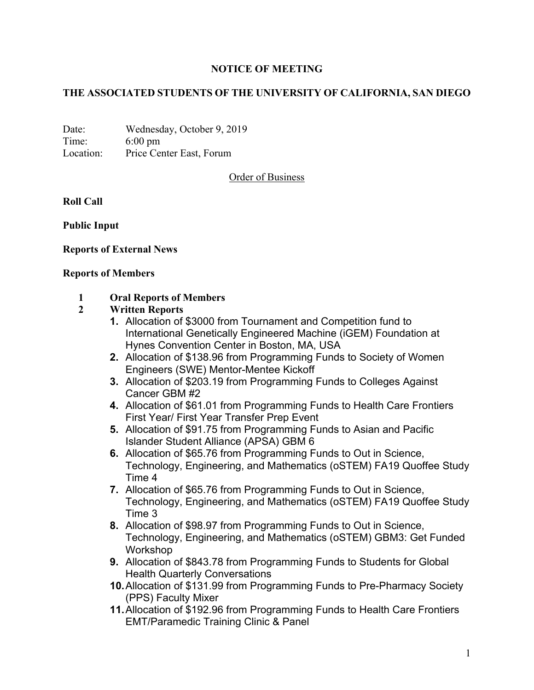# **NOTICE OF MEETING**

## **THE ASSOCIATED STUDENTS OF THE UNIVERSITY OF CALIFORNIA, SAN DIEGO**

Date: Wednesday, October 9, 2019 Time: 6:00 pm Location: Price Center East, Forum

Order of Business

**Roll Call** 

**Public Input** 

### **Reports of External News**

#### **Reports of Members**

### **1 Oral Reports of Members**

#### **2 Written Reports**

- **1.** Allocation of \$3000 from Tournament and Competition fund to International Genetically Engineered Machine (iGEM) Foundation at Hynes Convention Center in Boston, MA, USA
- **2.** Allocation of \$138.96 from Programming Funds to Society of Women Engineers (SWE) Mentor-Mentee Kickoff
- **3.** Allocation of \$203.19 from Programming Funds to Colleges Against Cancer GBM #2
- **4.** Allocation of \$61.01 from Programming Funds to Health Care Frontiers First Year/ First Year Transfer Prep Event
- **5.** Allocation of \$91.75 from Programming Funds to Asian and Pacific Islander Student Alliance (APSA) GBM 6
- **6.** Allocation of \$65.76 from Programming Funds to Out in Science, Technology, Engineering, and Mathematics (oSTEM) FA19 Quoffee Study Time 4
- **7.** Allocation of \$65.76 from Programming Funds to Out in Science, Technology, Engineering, and Mathematics (oSTEM) FA19 Quoffee Study Time 3
- **8.** Allocation of \$98.97 from Programming Funds to Out in Science, Technology, Engineering, and Mathematics (oSTEM) GBM3: Get Funded Workshop
- **9.** Allocation of \$843.78 from Programming Funds to Students for Global Health Quarterly Conversations
- **10.** Allocation of \$131.99 from Programming Funds to Pre-Pharmacy Society (PPS) Faculty Mixer
- **11.** Allocation of \$192.96 from Programming Funds to Health Care Frontiers EMT/Paramedic Training Clinic & Panel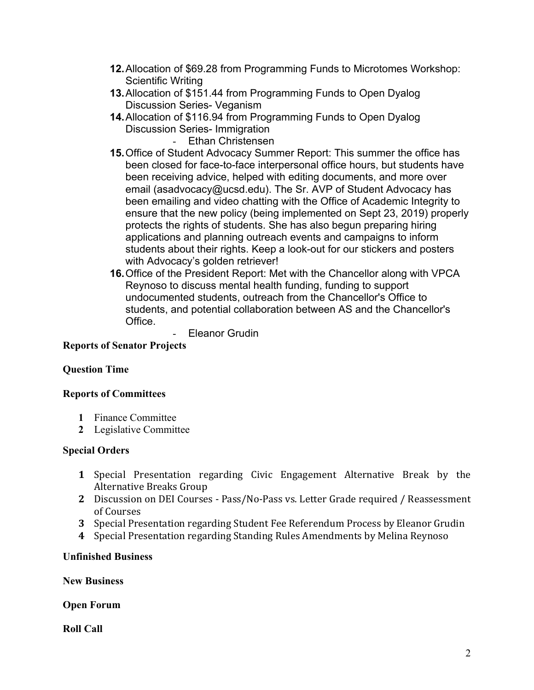- **12.** Allocation of \$69.28 from Programming Funds to Microtomes Workshop: Scientific Writing
- **13.** Allocation of \$151.44 from Programming Funds to Open Dyalog Discussion Series- Veganism
- **14.** Allocation of \$116.94 from Programming Funds to Open Dyalog Discussion Series- Immigration
	- Ethan Christensen
- **15.** Office of Student Advocacy Summer Report: This summer the office has been closed for face-to-face interpersonal office hours, but students have been receiving advice, helped with editing documents, and more over email (asadvocacy@ucsd.edu). The Sr. AVP of Student Advocacy has been emailing and video chatting with the Office of Academic Integrity to ensure that the new policy (being implemented on Sept 23, 2019) properly protects the rights of students. She has also begun preparing hiring applications and planning outreach events and campaigns to inform students about their rights. Keep a look-out for our stickers and posters with Advocacy's golden retriever!
- **16.** Office of the President Report: Met with the Chancellor along with VPCA Reynoso to discuss mental health funding, funding to support undocumented students, outreach from the Chancellor's Office to students, and potential collaboration between AS and the Chancellor's Office.

- Eleanor Grudin

## **Reports of Senator Projects**

### **Question Time**

### **Reports of Committees**

- **1** Finance Committee
- **2** Legislative Committee

# **Special Orders**

- **1** Special Presentation regarding Civic Engagement Alternative Break by the Alternative Breaks Group
- **2** Discussion on DEI Courses Pass/No-Pass vs. Letter Grade required / Reassessment of Courses
- **3** Special Presentation regarding Student Fee Referendum Process by Eleanor Grudin
- **4** Special Presentation regarding Standing Rules Amendments by Melina Reynoso

# **Unfinished Business**

**New Business** 

**Open Forum** 

**Roll Call**